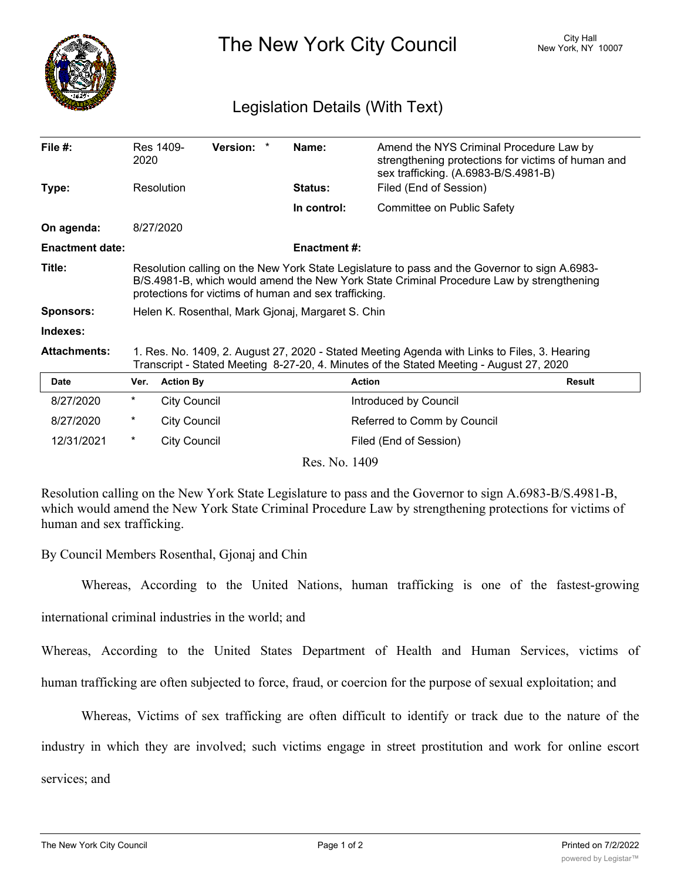

The New York City Council New York, NY 10007

## Legislation Details (With Text)

| File $#$ :             | 2020                                                                                                                                                                                                                                               | Res 1409-           | Version: * |  | Name:               | Amend the NYS Criminal Procedure Law by<br>strengthening protections for victims of human and<br>sex trafficking. (A.6983-B/S.4981-B) |               |
|------------------------|----------------------------------------------------------------------------------------------------------------------------------------------------------------------------------------------------------------------------------------------------|---------------------|------------|--|---------------------|---------------------------------------------------------------------------------------------------------------------------------------|---------------|
| Type:                  | Resolution                                                                                                                                                                                                                                         |                     |            |  | <b>Status:</b>      | Filed (End of Session)                                                                                                                |               |
|                        |                                                                                                                                                                                                                                                    |                     |            |  | In control:         | Committee on Public Safety                                                                                                            |               |
| On agenda:             | 8/27/2020                                                                                                                                                                                                                                          |                     |            |  |                     |                                                                                                                                       |               |
| <b>Enactment date:</b> |                                                                                                                                                                                                                                                    |                     |            |  | <b>Enactment #:</b> |                                                                                                                                       |               |
| Title:                 | Resolution calling on the New York State Legislature to pass and the Governor to sign A.6983-<br>B/S.4981-B, which would amend the New York State Criminal Procedure Law by strengthening<br>protections for victims of human and sex trafficking. |                     |            |  |                     |                                                                                                                                       |               |
| <b>Sponsors:</b>       | Helen K. Rosenthal, Mark Gjonaj, Margaret S. Chin                                                                                                                                                                                                  |                     |            |  |                     |                                                                                                                                       |               |
| Indexes:               |                                                                                                                                                                                                                                                    |                     |            |  |                     |                                                                                                                                       |               |
| <b>Attachments:</b>    | 1. Res. No. 1409, 2. August 27, 2020 - Stated Meeting Agenda with Links to Files, 3. Hearing<br>Transcript - Stated Meeting 8-27-20, 4. Minutes of the Stated Meeting - August 27, 2020                                                            |                     |            |  |                     |                                                                                                                                       |               |
| <b>Date</b>            | Ver.                                                                                                                                                                                                                                               | <b>Action By</b>    |            |  |                     | <b>Action</b>                                                                                                                         | <b>Result</b> |
| 8/27/2020              | $^\star$                                                                                                                                                                                                                                           | <b>City Council</b> |            |  |                     | Introduced by Council                                                                                                                 |               |
| 8/27/2020              | *                                                                                                                                                                                                                                                  | <b>City Council</b> |            |  |                     | Referred to Comm by Council                                                                                                           |               |
| 12/31/2021             | $^\star$                                                                                                                                                                                                                                           | <b>City Council</b> |            |  |                     | Filed (End of Session)                                                                                                                |               |
| Res. No. 1409          |                                                                                                                                                                                                                                                    |                     |            |  |                     |                                                                                                                                       |               |

Resolution calling on the New York State Legislature to pass and the Governor to sign A.6983-B/S.4981-B, which would amend the New York State Criminal Procedure Law by strengthening protections for victims of human and sex trafficking.

By Council Members Rosenthal, Gjonaj and Chin

Whereas, According to the United Nations, human trafficking is one of the fastest-growing

international criminal industries in the world; and

Whereas, According to the United States Department of Health and Human Services, victims of

human trafficking are often subjected to force, fraud, or coercion for the purpose of sexual exploitation; and

Whereas, Victims of sex trafficking are often difficult to identify or track due to the nature of the

industry in which they are involved; such victims engage in street prostitution and work for online escort

services; and